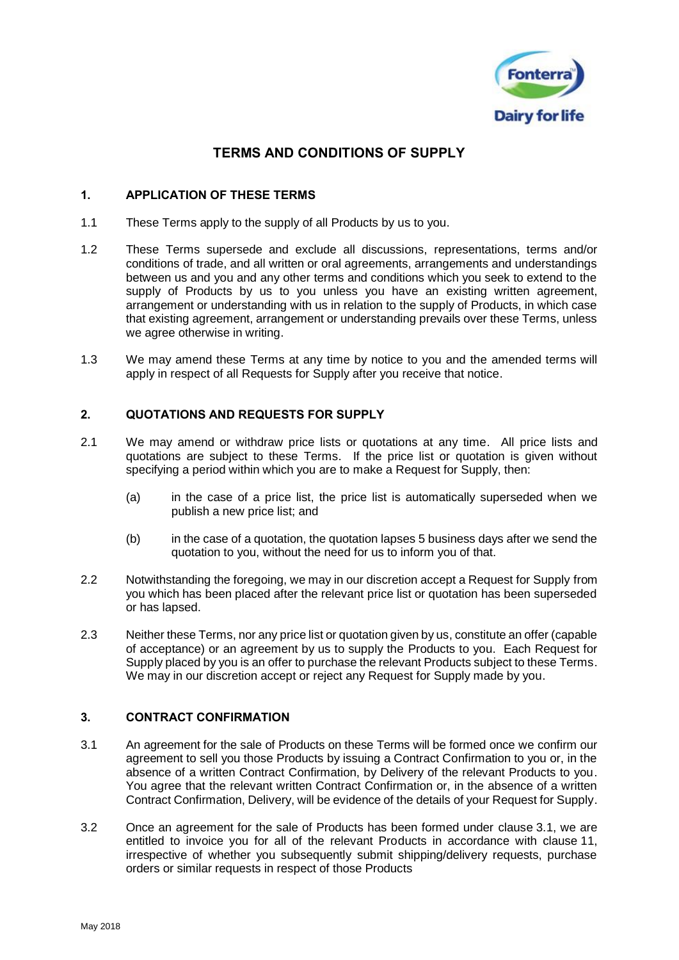

# TERMS AND CONDITIONS OF SUPPLY

## 1. APPLICATION OF THESE TERMS

- 1.1 These Terms apply to the supply of all Products by us to you.
- 1.2 These Terms supersede and exclude all discussions, representations, terms and/or conditions of trade, and all written or oral agreements, arrangements and understandings between us and you and any other terms and conditions which you seek to extend to the supply of Products by us to you unless you have an existing written agreement, arrangement or understanding with us in relation to the supply of Products, in which case that existing agreement, arrangement or understanding prevails over these Terms, unless we agree otherwise in writing.
- <span id="page-0-1"></span>1.3 We may amend these Terms at any time by notice to you and the amended terms will apply in respect of all Requests for Supply after you receive that notice.

## 2. QUOTATIONS AND REQUESTS FOR SUPPLY

- 2.1 We may amend or withdraw price lists or quotations at any time. All price lists and quotations are subject to these Terms. If the price list or quotation is given without specifying a period within which you are to make a Request for Supply, then:
	- (a) in the case of a price list, the price list is automatically superseded when we publish a new price list; and
	- (b) in the case of a quotation, the quotation lapses 5 business days after we send the quotation to you, without the need for us to inform you of that.
- 2.2 Notwithstanding the foregoing, we may in our discretion accept a Request for Supply from you which has been placed after the relevant price list or quotation has been superseded or has lapsed.
- 2.3 Neither these Terms, nor any price list or quotation given by us, constitute an offer (capable of acceptance) or an agreement by us to supply the Products to you. Each Request for Supply placed by you is an offer to purchase the relevant Products subject to these Terms. We may in our discretion accept or reject any Request for Supply made by you.

## 3. CONTRACT CONFIRMATION

- <span id="page-0-0"></span>3.1 An agreement for the sale of Products on these Terms will be formed once we confirm our agreement to sell you those Products by issuing a Contract Confirmation to you or, in the absence of a written Contract Confirmation, by Delivery of the relevant Products to you. You agree that the relevant written Contract Confirmation or, in the absence of a written Contract Confirmation, Delivery, will be evidence of the details of your Request for Supply.
- 3.2 Once an agreement for the sale of Products has been formed under clause [3.1,](#page-0-0) we are entitled to invoice you for all of the relevant Products in accordance with clause [11,](#page-10-0) irrespective of whether you subsequently submit shipping/delivery requests, purchase orders or similar requests in respect of those Products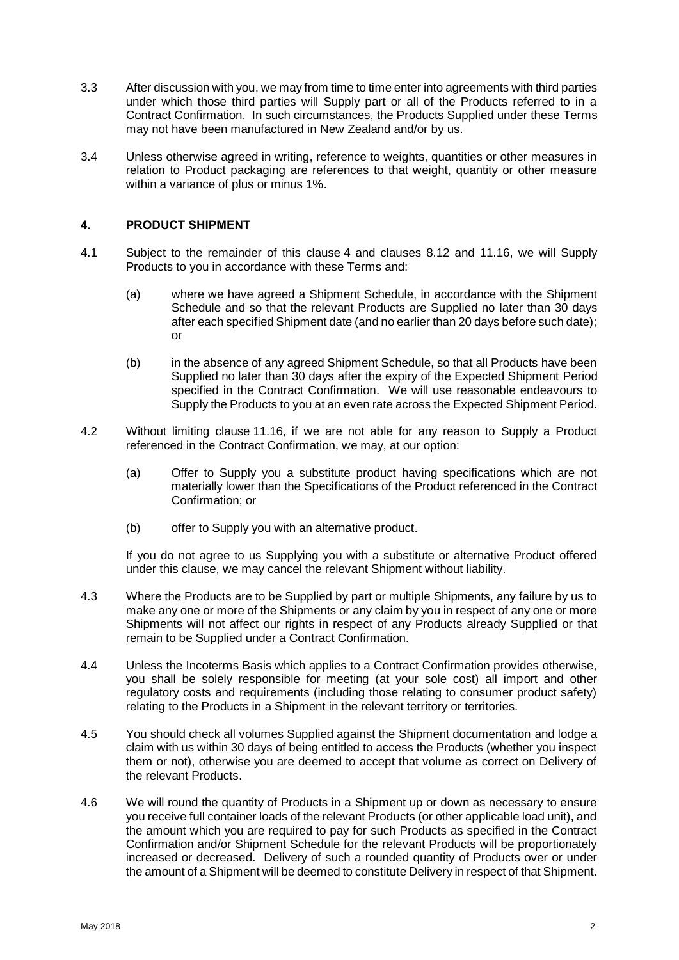- 3.3 After discussion with you, we may from time to time enter into agreements with third parties under which those third parties will Supply part or all of the Products referred to in a Contract Confirmation. In such circumstances, the Products Supplied under these Terms may not have been manufactured in New Zealand and/or by us.
- 3.4 Unless otherwise agreed in writing, reference to weights, quantities or other measures in relation to Product packaging are references to that weight, quantity or other measure within a variance of plus or minus 1%.

## <span id="page-1-0"></span>4. PRODUCT SHIPMENT

- <span id="page-1-1"></span>4.1 Subject to the remainder of this clause [4](#page-1-0) and clauses [8.12](#page-6-0) and [11.16,](#page-12-0) we will Supply Products to you in accordance with these Terms and:
	- (a) where we have agreed a Shipment Schedule, in accordance with the Shipment Schedule and so that the relevant Products are Supplied no later than 30 days after each specified Shipment date (and no earlier than 20 days before such date); or
	- (b) in the absence of any agreed Shipment Schedule, so that all Products have been Supplied no later than 30 days after the expiry of the Expected Shipment Period specified in the Contract Confirmation. We will use reasonable endeavours to Supply the Products to you at an even rate across the Expected Shipment Period.
- <span id="page-1-3"></span>4.2 Without limiting clause [11.16,](#page-12-0) if we are not able for any reason to Supply a Product referenced in the Contract Confirmation, we may, at our option:
	- (a) Offer to Supply you a substitute product having specifications which are not materially lower than the Specifications of the Product referenced in the Contract Confirmation; or
	- (b) offer to Supply you with an alternative product.

If you do not agree to us Supplying you with a substitute or alternative Product offered under this clause, we may cancel the relevant Shipment without liability.

- 4.3 Where the Products are to be Supplied by part or multiple Shipments, any failure by us to make any one or more of the Shipments or any claim by you in respect of any one or more Shipments will not affect our rights in respect of any Products already Supplied or that remain to be Supplied under a Contract Confirmation.
- 4.4 Unless the Incoterms Basis which applies to a Contract Confirmation provides otherwise, you shall be solely responsible for meeting (at your sole cost) all import and other regulatory costs and requirements (including those relating to consumer product safety) relating to the Products in a Shipment in the relevant territory or territories.
- 4.5 You should check all volumes Supplied against the Shipment documentation and lodge a claim with us within 30 days of being entitled to access the Products (whether you inspect them or not), otherwise you are deemed to accept that volume as correct on Delivery of the relevant Products.
- <span id="page-1-2"></span>4.6 We will round the quantity of Products in a Shipment up or down as necessary to ensure you receive full container loads of the relevant Products (or other applicable load unit), and the amount which you are required to pay for such Products as specified in the Contract Confirmation and/or Shipment Schedule for the relevant Products will be proportionately increased or decreased. Delivery of such a rounded quantity of Products over or under the amount of a Shipment will be deemed to constitute Delivery in respect of that Shipment.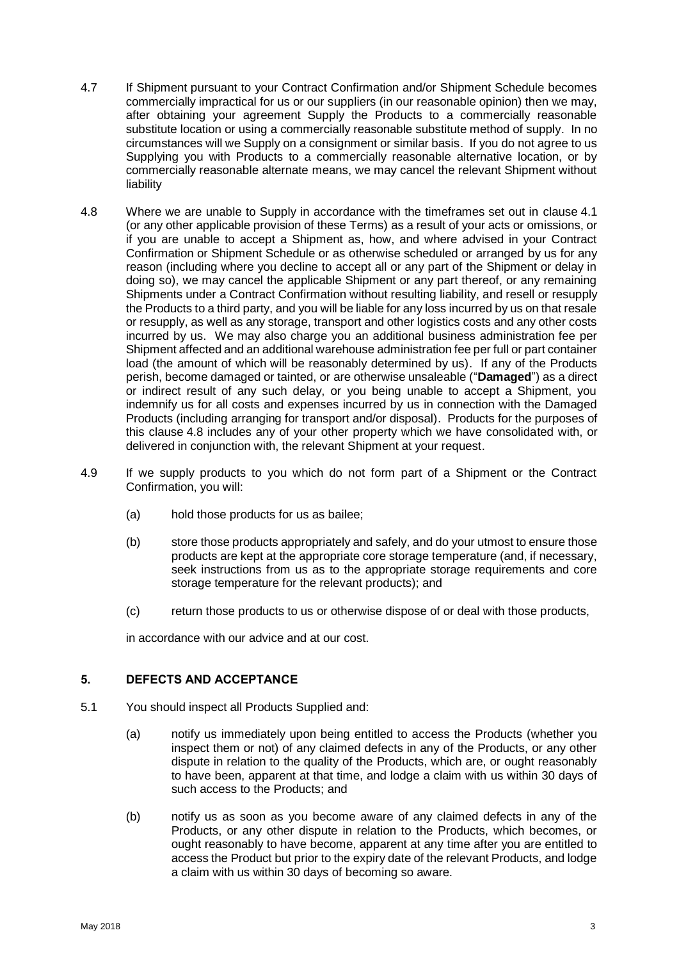- 4.7 If Shipment pursuant to your Contract Confirmation and/or Shipment Schedule becomes commercially impractical for us or our suppliers (in our reasonable opinion) then we may, after obtaining your agreement Supply the Products to a commercially reasonable substitute location or using a commercially reasonable substitute method of supply. In no circumstances will we Supply on a consignment or similar basis. If you do not agree to us Supplying you with Products to a commercially reasonable alternative location, or by commercially reasonable alternate means, we may cancel the relevant Shipment without liability
- <span id="page-2-0"></span>4.8 Where we are unable to Supply in accordance with the timeframes set out in clause [4.1](#page-1-1) (or any other applicable provision of these Terms) as a result of your acts or omissions, or if you are unable to accept a Shipment as, how, and where advised in your Contract Confirmation or Shipment Schedule or as otherwise scheduled or arranged by us for any reason (including where you decline to accept all or any part of the Shipment or delay in doing so), we may cancel the applicable Shipment or any part thereof, or any remaining Shipments under a Contract Confirmation without resulting liability, and resell or resupply the Products to a third party, and you will be liable for any loss incurred by us on that resale or resupply, as well as any storage, transport and other logistics costs and any other costs incurred by us. We may also charge you an additional business administration fee per Shipment affected and an additional warehouse administration fee per full or part container load (the amount of which will be reasonably determined by us). If any of the Products perish, become damaged or tainted, or are otherwise unsaleable ("**Damaged**") as a direct or indirect result of any such delay, or you being unable to accept a Shipment, you indemnify us for all costs and expenses incurred by us in connection with the Damaged Products (including arranging for transport and/or disposal). Products for the purposes of this clause [4.8](#page-2-0) includes any of your other property which we have consolidated with, or delivered in conjunction with, the relevant Shipment at your request.
- 4.9 If we supply products to you which do not form part of a Shipment or the Contract Confirmation, you will:
	- (a) hold those products for us as bailee;
	- (b) store those products appropriately and safely, and do your utmost to ensure those products are kept at the appropriate core storage temperature (and, if necessary, seek instructions from us as to the appropriate storage requirements and core storage temperature for the relevant products); and
	- (c) return those products to us or otherwise dispose of or deal with those products,

in accordance with our advice and at our cost.

## 5. DEFECTS AND ACCEPTANCE

- 5.1 You should inspect all Products Supplied and:
	- (a) notify us immediately upon being entitled to access the Products (whether you inspect them or not) of any claimed defects in any of the Products, or any other dispute in relation to the quality of the Products, which are, or ought reasonably to have been, apparent at that time, and lodge a claim with us within 30 days of such access to the Products; and
	- (b) notify us as soon as you become aware of any claimed defects in any of the Products, or any other dispute in relation to the Products, which becomes, or ought reasonably to have become, apparent at any time after you are entitled to access the Product but prior to the expiry date of the relevant Products, and lodge a claim with us within 30 days of becoming so aware.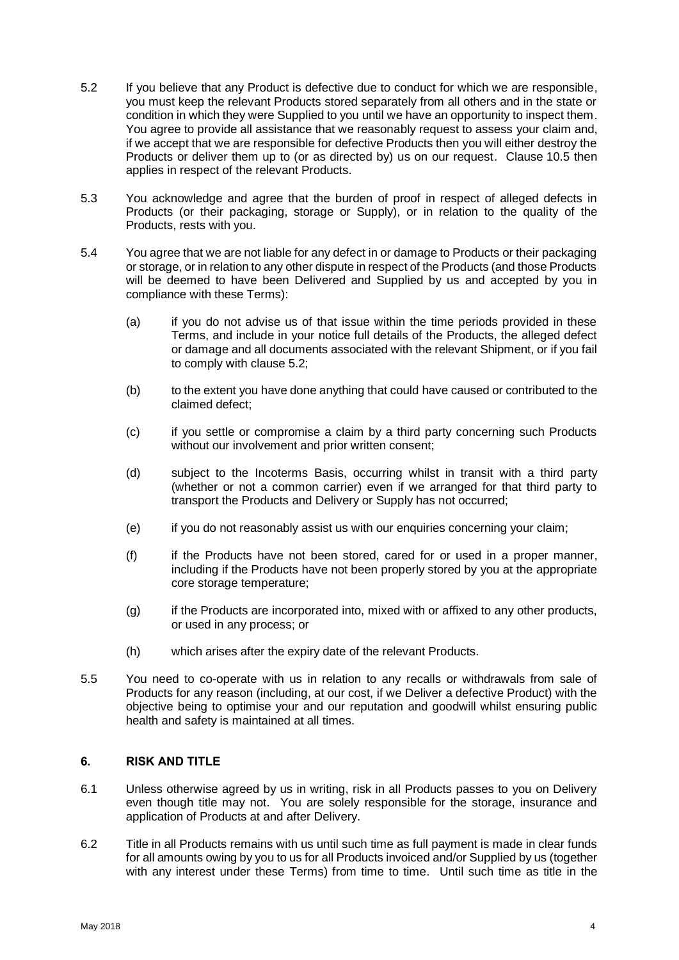- <span id="page-3-0"></span>5.2 If you believe that any Product is defective due to conduct for which we are responsible, you must keep the relevant Products stored separately from all others and in the state or condition in which they were Supplied to you until we have an opportunity to inspect them. You agree to provide all assistance that we reasonably request to assess your claim and, if we accept that we are responsible for defective Products then you will either destroy the Products or deliver them up to (or as directed by) us on our request. Clause [10.5](#page-8-0) then applies in respect of the relevant Products.
- 5.3 You acknowledge and agree that the burden of proof in respect of alleged defects in Products (or their packaging, storage or Supply), or in relation to the quality of the Products, rests with you.
- 5.4 You agree that we are not liable for any defect in or damage to Products or their packaging or storage, or in relation to any other dispute in respect of the Products (and those Products will be deemed to have been Delivered and Supplied by us and accepted by you in compliance with these Terms):
	- (a) if you do not advise us of that issue within the time periods provided in these Terms, and include in your notice full details of the Products, the alleged defect or damage and all documents associated with the relevant Shipment, or if you fail to comply with clause [5.2;](#page-3-0)
	- (b) to the extent you have done anything that could have caused or contributed to the claimed defect;
	- (c) if you settle or compromise a claim by a third party concerning such Products without our involvement and prior written consent;
	- (d) subject to the Incoterms Basis, occurring whilst in transit with a third party (whether or not a common carrier) even if we arranged for that third party to transport the Products and Delivery or Supply has not occurred;
	- (e) if you do not reasonably assist us with our enquiries concerning your claim;
	- (f) if the Products have not been stored, cared for or used in a proper manner, including if the Products have not been properly stored by you at the appropriate core storage temperature;
	- (g) if the Products are incorporated into, mixed with or affixed to any other products, or used in any process; or
	- (h) which arises after the expiry date of the relevant Products.
- 5.5 You need to co-operate with us in relation to any recalls or withdrawals from sale of Products for any reason (including, at our cost, if we Deliver a defective Product) with the objective being to optimise your and our reputation and goodwill whilst ensuring public health and safety is maintained at all times.

## 6. RISK AND TITLE

- 6.1 Unless otherwise agreed by us in writing, risk in all Products passes to you on Delivery even though title may not. You are solely responsible for the storage, insurance and application of Products at and after Delivery.
- <span id="page-3-1"></span>6.2 Title in all Products remains with us until such time as full payment is made in clear funds for all amounts owing by you to us for all Products invoiced and/or Supplied by us (together with any interest under these Terms) from time to time. Until such time as title in the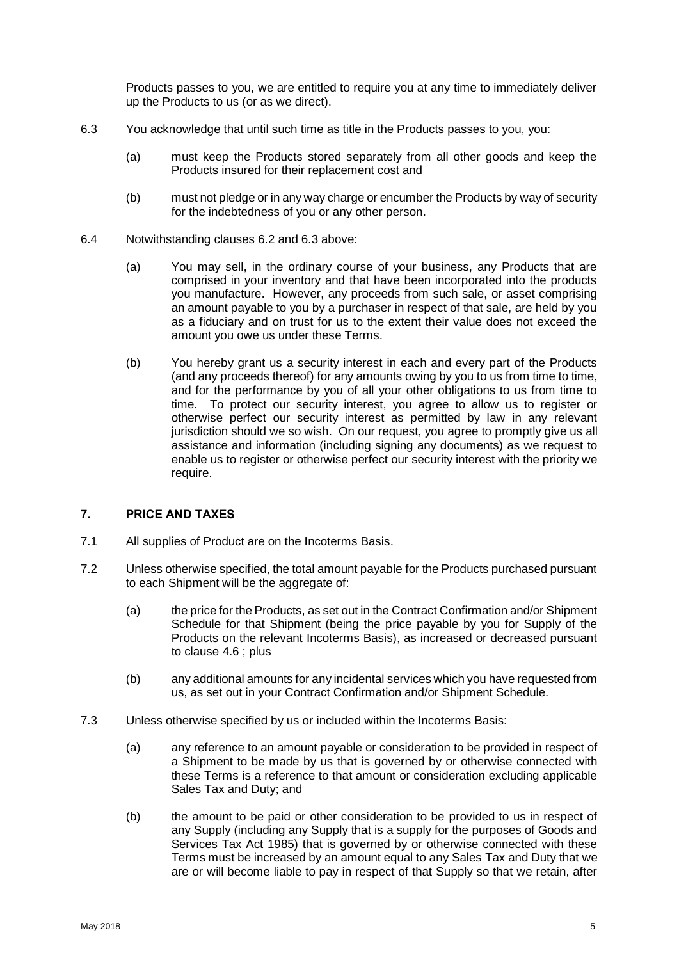Products passes to you, we are entitled to require you at any time to immediately deliver up the Products to us (or as we direct).

- <span id="page-4-0"></span>6.3 You acknowledge that until such time as title in the Products passes to you, you:
	- (a) must keep the Products stored separately from all other goods and keep the Products insured for their replacement cost and
	- (b) must not pledge or in any way charge or encumber the Products by way of security for the indebtedness of you or any other person.
- 6.4 Notwithstanding clauses [6.2](#page-3-1) and [6.3](#page-4-0) above:
	- (a) You may sell, in the ordinary course of your business, any Products that are comprised in your inventory and that have been incorporated into the products you manufacture. However, any proceeds from such sale, or asset comprising an amount payable to you by a purchaser in respect of that sale, are held by you as a fiduciary and on trust for us to the extent their value does not exceed the amount you owe us under these Terms.
	- (b) You hereby grant us a security interest in each and every part of the Products (and any proceeds thereof) for any amounts owing by you to us from time to time, and for the performance by you of all your other obligations to us from time to time. To protect our security interest, you agree to allow us to register or otherwise perfect our security interest as permitted by law in any relevant jurisdiction should we so wish. On our request, you agree to promptly give us all assistance and information (including signing any documents) as we request to enable us to register or otherwise perfect our security interest with the priority we require.

#### 7. PRICE AND TAXES

- 7.1 All supplies of Product are on the Incoterms Basis.
- 7.2 Unless otherwise specified, the total amount payable for the Products purchased pursuant to each Shipment will be the aggregate of:
	- (a) the price for the Products, as set out in the Contract Confirmation and/or Shipment Schedule for that Shipment (being the price payable by you for Supply of the Products on the relevant Incoterms Basis), as increased or decreased pursuant to clause [4.6](#page-1-2) ; plus
	- (b) any additional amounts for any incidental services which you have requested from us, as set out in your Contract Confirmation and/or Shipment Schedule.
- 7.3 Unless otherwise specified by us or included within the Incoterms Basis:
	- (a) any reference to an amount payable or consideration to be provided in respect of a Shipment to be made by us that is governed by or otherwise connected with these Terms is a reference to that amount or consideration excluding applicable Sales Tax and Duty; and
	- (b) the amount to be paid or other consideration to be provided to us in respect of any Supply (including any Supply that is a supply for the purposes of Goods and Services Tax Act 1985) that is governed by or otherwise connected with these Terms must be increased by an amount equal to any Sales Tax and Duty that we are or will become liable to pay in respect of that Supply so that we retain, after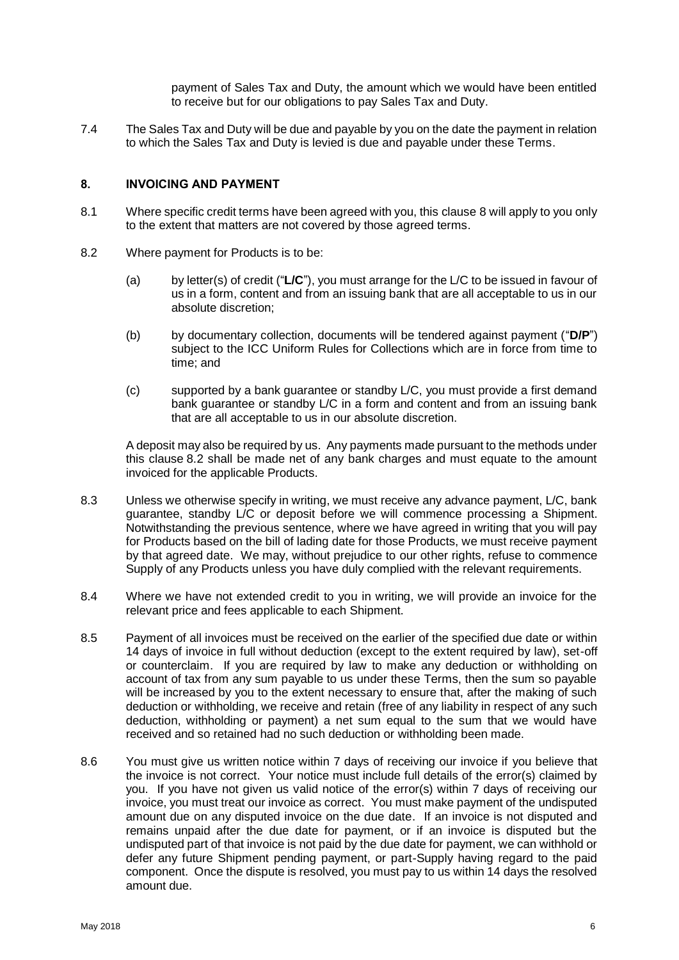payment of Sales Tax and Duty, the amount which we would have been entitled to receive but for our obligations to pay Sales Tax and Duty.

7.4 The Sales Tax and Duty will be due and payable by you on the date the payment in relation to which the Sales Tax and Duty is levied is due and payable under these Terms.

## <span id="page-5-0"></span>8. INVOICING AND PAYMENT

- 8.1 Where specific credit terms have been agreed with you, this clause [8](#page-5-0) will apply to you only to the extent that matters are not covered by those agreed terms.
- <span id="page-5-1"></span>8.2 Where payment for Products is to be:
	- (a) by letter(s) of credit ("**L/C**"), you must arrange for the L/C to be issued in favour of us in a form, content and from an issuing bank that are all acceptable to us in our absolute discretion;
	- (b) by documentary collection, documents will be tendered against payment ("**D/P**") subject to the ICC Uniform Rules for Collections which are in force from time to time; and
	- (c) supported by a bank guarantee or standby L/C, you must provide a first demand bank guarantee or standby L/C in a form and content and from an issuing bank that are all acceptable to us in our absolute discretion.

A deposit may also be required by us. Any payments made pursuant to the methods under this clause [8.2](#page-5-1) shall be made net of any bank charges and must equate to the amount invoiced for the applicable Products.

- 8.3 Unless we otherwise specify in writing, we must receive any advance payment, L/C, bank guarantee, standby L/C or deposit before we will commence processing a Shipment. Notwithstanding the previous sentence, where we have agreed in writing that you will pay for Products based on the bill of lading date for those Products, we must receive payment by that agreed date. We may, without prejudice to our other rights, refuse to commence Supply of any Products unless you have duly complied with the relevant requirements.
- 8.4 Where we have not extended credit to you in writing, we will provide an invoice for the relevant price and fees applicable to each Shipment.
- 8.5 Payment of all invoices must be received on the earlier of the specified due date or within 14 days of invoice in full without deduction (except to the extent required by law), set-off or counterclaim. If you are required by law to make any deduction or withholding on account of tax from any sum payable to us under these Terms, then the sum so payable will be increased by you to the extent necessary to ensure that, after the making of such deduction or withholding, we receive and retain (free of any liability in respect of any such deduction, withholding or payment) a net sum equal to the sum that we would have received and so retained had no such deduction or withholding been made.
- 8.6 You must give us written notice within 7 days of receiving our invoice if you believe that the invoice is not correct. Your notice must include full details of the error(s) claimed by you. If you have not given us valid notice of the error(s) within 7 days of receiving our invoice, you must treat our invoice as correct. You must make payment of the undisputed amount due on any disputed invoice on the due date. If an invoice is not disputed and remains unpaid after the due date for payment, or if an invoice is disputed but the undisputed part of that invoice is not paid by the due date for payment, we can withhold or defer any future Shipment pending payment, or part-Supply having regard to the paid component. Once the dispute is resolved, you must pay to us within 14 days the resolved amount due.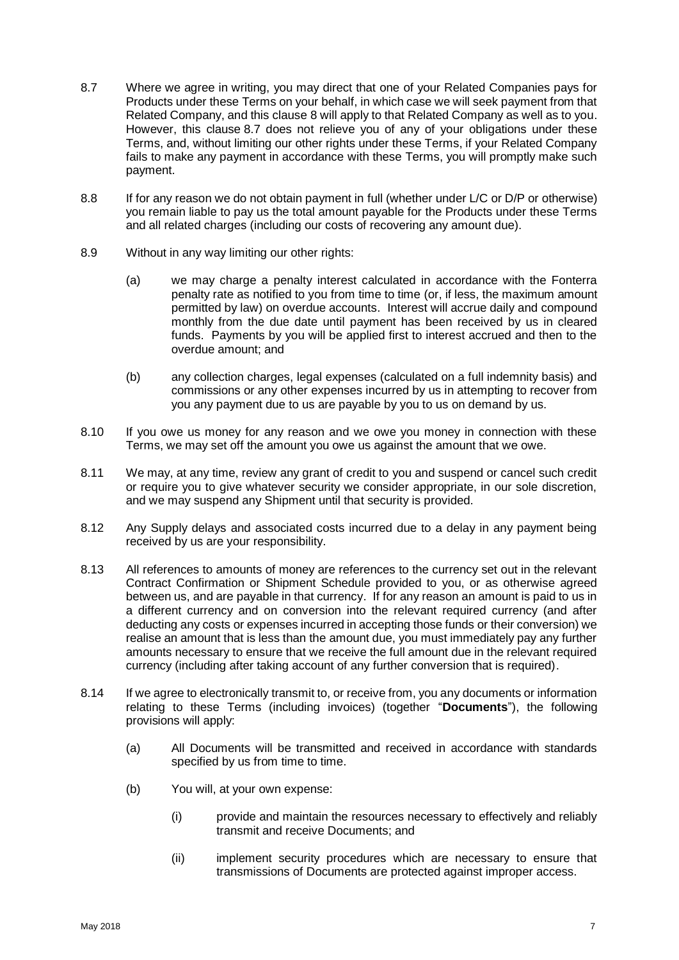- <span id="page-6-1"></span>8.7 Where we agree in writing, you may direct that one of your Related Companies pays for Products under these Terms on your behalf, in which case we will seek payment from that Related Company, and this clause [8](#page-5-0) will apply to that Related Company as well as to you. However, this clause [8.7](#page-6-1) does not relieve you of any of your obligations under these Terms, and, without limiting our other rights under these Terms, if your Related Company fails to make any payment in accordance with these Terms, you will promptly make such payment.
- 8.8 If for any reason we do not obtain payment in full (whether under L/C or D/P or otherwise) you remain liable to pay us the total amount payable for the Products under these Terms and all related charges (including our costs of recovering any amount due).
- 8.9 Without in any way limiting our other rights:
	- (a) we may charge a penalty interest calculated in accordance with the Fonterra penalty rate as notified to you from time to time (or, if less, the maximum amount permitted by law) on overdue accounts. Interest will accrue daily and compound monthly from the due date until payment has been received by us in cleared funds. Payments by you will be applied first to interest accrued and then to the overdue amount; and
	- (b) any collection charges, legal expenses (calculated on a full indemnity basis) and commissions or any other expenses incurred by us in attempting to recover from you any payment due to us are payable by you to us on demand by us.
- 8.10 If you owe us money for any reason and we owe you money in connection with these Terms, we may set off the amount you owe us against the amount that we owe.
- 8.11 We may, at any time, review any grant of credit to you and suspend or cancel such credit or require you to give whatever security we consider appropriate, in our sole discretion, and we may suspend any Shipment until that security is provided.
- <span id="page-6-0"></span>8.12 Any Supply delays and associated costs incurred due to a delay in any payment being received by us are your responsibility.
- 8.13 All references to amounts of money are references to the currency set out in the relevant Contract Confirmation or Shipment Schedule provided to you, or as otherwise agreed between us, and are payable in that currency. If for any reason an amount is paid to us in a different currency and on conversion into the relevant required currency (and after deducting any costs or expenses incurred in accepting those funds or their conversion) we realise an amount that is less than the amount due, you must immediately pay any further amounts necessary to ensure that we receive the full amount due in the relevant required currency (including after taking account of any further conversion that is required).
- <span id="page-6-2"></span>8.14 If we agree to electronically transmit to, or receive from, you any documents or information relating to these Terms (including invoices) (together "**Documents**"), the following provisions will apply:
	- (a) All Documents will be transmitted and received in accordance with standards specified by us from time to time.
	- (b) You will, at your own expense:
		- (i) provide and maintain the resources necessary to effectively and reliably transmit and receive Documents; and
		- (ii) implement security procedures which are necessary to ensure that transmissions of Documents are protected against improper access.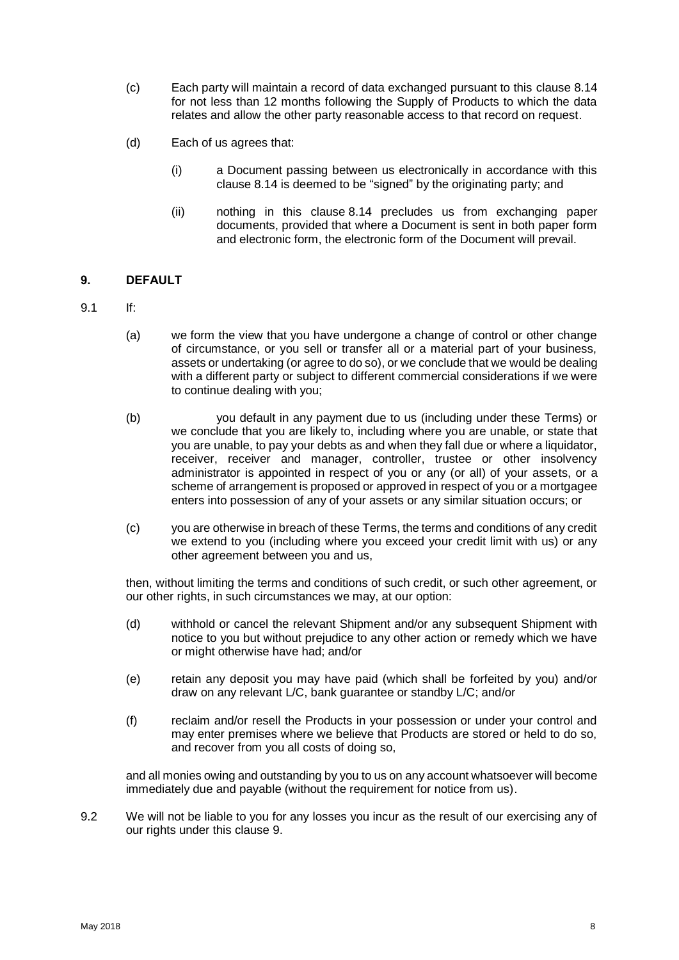- (c) Each party will maintain a record of data exchanged pursuant to this clause [8.14](#page-6-2) for not less than 12 months following the Supply of Products to which the data relates and allow the other party reasonable access to that record on request.
- (d) Each of us agrees that:
	- (i) a Document passing between us electronically in accordance with this clause [8.14](#page-6-2) is deemed to be "signed" by the originating party; and
	- (ii) nothing in this clause [8.14](#page-6-2) precludes us from exchanging paper documents, provided that where a Document is sent in both paper form and electronic form, the electronic form of the Document will prevail.

## <span id="page-7-0"></span>9. DEFAULT

- 9.1 If:
	- (a) we form the view that you have undergone a change of control or other change of circumstance, or you sell or transfer all or a material part of your business, assets or undertaking (or agree to do so), or we conclude that we would be dealing with a different party or subject to different commercial considerations if we were to continue dealing with you;
	- (b) you default in any payment due to us (including under these Terms) or we conclude that you are likely to, including where you are unable, or state that you are unable, to pay your debts as and when they fall due or where a liquidator, receiver, receiver and manager, controller, trustee or other insolvency administrator is appointed in respect of you or any (or all) of your assets, or a scheme of arrangement is proposed or approved in respect of you or a mortgagee enters into possession of any of your assets or any similar situation occurs; or
	- (c) you are otherwise in breach of these Terms, the terms and conditions of any credit we extend to you (including where you exceed your credit limit with us) or any other agreement between you and us,

then, without limiting the terms and conditions of such credit, or such other agreement, or our other rights, in such circumstances we may, at our option:

- (d) withhold or cancel the relevant Shipment and/or any subsequent Shipment with notice to you but without prejudice to any other action or remedy which we have or might otherwise have had; and/or
- (e) retain any deposit you may have paid (which shall be forfeited by you) and/or draw on any relevant L/C, bank guarantee or standby L/C; and/or
- (f) reclaim and/or resell the Products in your possession or under your control and may enter premises where we believe that Products are stored or held to do so, and recover from you all costs of doing so,

and all monies owing and outstanding by you to us on any account whatsoever will become immediately due and payable (without the requirement for notice from us).

9.2 We will not be liable to you for any losses you incur as the result of our exercising any of our rights under this clause [9.](#page-7-0)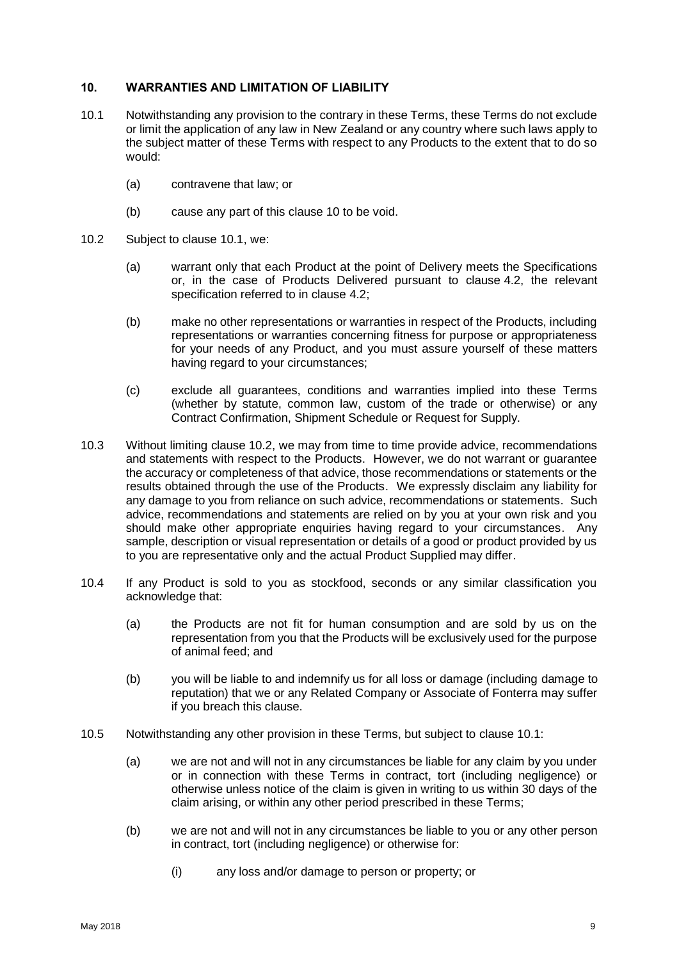#### <span id="page-8-1"></span>10. WARRANTIES AND LIMITATION OF LIABILITY

- <span id="page-8-2"></span>10.1 Notwithstanding any provision to the contrary in these Terms, these Terms do not exclude or limit the application of any law in New Zealand or any country where such laws apply to the subject matter of these Terms with respect to any Products to the extent that to do so would:
	- (a) contravene that law; or
	- (b) cause any part of this clause [10](#page-8-1) to be void.
- <span id="page-8-3"></span>10.2 Subject to clause [10.1,](#page-8-2) we:
	- (a) warrant only that each Product at the point of Delivery meets the Specifications or, in the case of Products Delivered pursuant to clause [4.2,](#page-1-3) the relevant specification referred to in clause [4.2;](#page-1-3)
	- (b) make no other representations or warranties in respect of the Products, including representations or warranties concerning fitness for purpose or appropriateness for your needs of any Product, and you must assure yourself of these matters having regard to your circumstances;
	- (c) exclude all guarantees, conditions and warranties implied into these Terms (whether by statute, common law, custom of the trade or otherwise) or any Contract Confirmation, Shipment Schedule or Request for Supply.
- 10.3 Without limiting clause [10.2,](#page-8-3) we may from time to time provide advice, recommendations and statements with respect to the Products. However, we do not warrant or guarantee the accuracy or completeness of that advice, those recommendations or statements or the results obtained through the use of the Products. We expressly disclaim any liability for any damage to you from reliance on such advice, recommendations or statements. Such advice, recommendations and statements are relied on by you at your own risk and you should make other appropriate enquiries having regard to your circumstances. Any sample, description or visual representation or details of a good or product provided by us to you are representative only and the actual Product Supplied may differ.
- 10.4 If any Product is sold to you as stockfood, seconds or any similar classification you acknowledge that:
	- (a) the Products are not fit for human consumption and are sold by us on the representation from you that the Products will be exclusively used for the purpose of animal feed; and
	- (b) you will be liable to and indemnify us for all loss or damage (including damage to reputation) that we or any Related Company or Associate of Fonterra may suffer if you breach this clause.
- <span id="page-8-0"></span>10.5 Notwithstanding any other provision in these Terms, but subject to clause [10.1:](#page-8-2)
	- (a) we are not and will not in any circumstances be liable for any claim by you under or in connection with these Terms in contract, tort (including negligence) or otherwise unless notice of the claim is given in writing to us within 30 days of the claim arising, or within any other period prescribed in these Terms;
	- (b) we are not and will not in any circumstances be liable to you or any other person in contract, tort (including negligence) or otherwise for:
		- (i) any loss and/or damage to person or property; or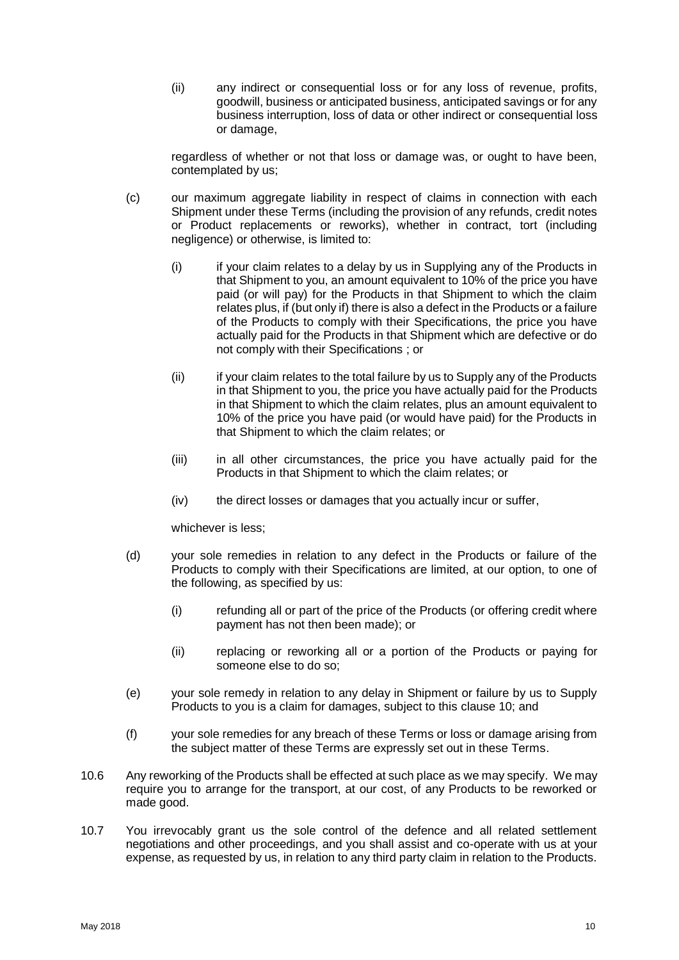(ii) any indirect or consequential loss or for any loss of revenue, profits, goodwill, business or anticipated business, anticipated savings or for any business interruption, loss of data or other indirect or consequential loss or damage,

regardless of whether or not that loss or damage was, or ought to have been, contemplated by us;

- (c) our maximum aggregate liability in respect of claims in connection with each Shipment under these Terms (including the provision of any refunds, credit notes or Product replacements or reworks), whether in contract, tort (including negligence) or otherwise, is limited to:
	- (i) if your claim relates to a delay by us in Supplying any of the Products in that Shipment to you, an amount equivalent to 10% of the price you have paid (or will pay) for the Products in that Shipment to which the claim relates plus, if (but only if) there is also a defect in the Products or a failure of the Products to comply with their Specifications, the price you have actually paid for the Products in that Shipment which are defective or do not comply with their Specifications ; or
	- (ii) if your claim relates to the total failure by us to Supply any of the Products in that Shipment to you, the price you have actually paid for the Products in that Shipment to which the claim relates, plus an amount equivalent to 10% of the price you have paid (or would have paid) for the Products in that Shipment to which the claim relates; or
	- (iii) in all other circumstances, the price you have actually paid for the Products in that Shipment to which the claim relates; or
	- (iv) the direct losses or damages that you actually incur or suffer,

whichever is less;

- (d) your sole remedies in relation to any defect in the Products or failure of the Products to comply with their Specifications are limited, at our option, to one of the following, as specified by us:
	- (i) refunding all or part of the price of the Products (or offering credit where payment has not then been made); or
	- (ii) replacing or reworking all or a portion of the Products or paying for someone else to do so;
- (e) your sole remedy in relation to any delay in Shipment or failure by us to Supply Products to you is a claim for damages, subject to this clause [10;](#page-8-1) and
- (f) your sole remedies for any breach of these Terms or loss or damage arising from the subject matter of these Terms are expressly set out in these Terms.
- 10.6 Any reworking of the Products shall be effected at such place as we may specify. We may require you to arrange for the transport, at our cost, of any Products to be reworked or made good.
- 10.7 You irrevocably grant us the sole control of the defence and all related settlement negotiations and other proceedings, and you shall assist and co-operate with us at your expense, as requested by us, in relation to any third party claim in relation to the Products.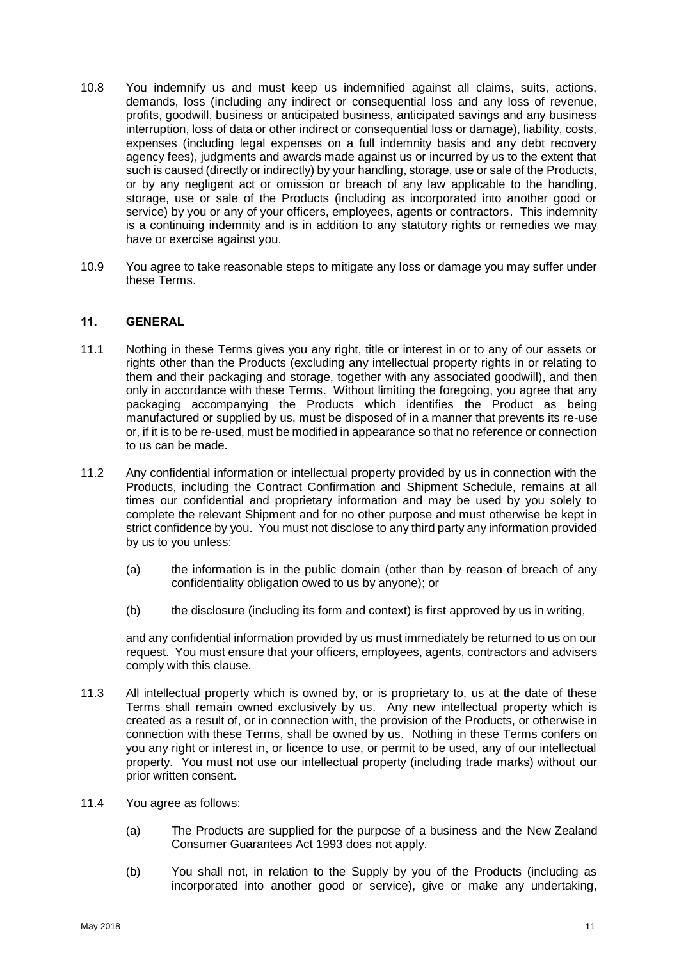- 10.8 You indemnify us and must keep us indemnified against all claims, suits, actions, demands, loss (including any indirect or consequential loss and any loss of revenue, profits, goodwill, business or anticipated business, anticipated savings and any business interruption, loss of data or other indirect or consequential loss or damage), liability, costs, expenses (including legal expenses on a full indemnity basis and any debt recovery agency fees), judgments and awards made against us or incurred by us to the extent that such is caused (directly or indirectly) by your handling, storage, use or sale of the Products, or by any negligent act or omission or breach of any law applicable to the handling, storage, use or sale of the Products (including as incorporated into another good or service) by you or any of your officers, employees, agents or contractors. This indemnity is a continuing indemnity and is in addition to any statutory rights or remedies we may have or exercise against you.
- 10.9 You agree to take reasonable steps to mitigate any loss or damage you may suffer under these Terms.

#### <span id="page-10-0"></span>11. GENERAL

- 11.1 Nothing in these Terms gives you any right, title or interest in or to any of our assets or rights other than the Products (excluding any intellectual property rights in or relating to them and their packaging and storage, together with any associated goodwill), and then only in accordance with these Terms. Without limiting the foregoing, you agree that any packaging accompanying the Products which identifies the Product as being manufactured or supplied by us, must be disposed of in a manner that prevents its re-use or, if it is to be re-used, must be modified in appearance so that no reference or connection to us can be made.
- 11.2 Any confidential information or intellectual property provided by us in connection with the Products, including the Contract Confirmation and Shipment Schedule, remains at all times our confidential and proprietary information and may be used by you solely to complete the relevant Shipment and for no other purpose and must otherwise be kept in strict confidence by you. You must not disclose to any third party any information provided by us to you unless:
	- (a) the information is in the public domain (other than by reason of breach of any confidentiality obligation owed to us by anyone); or
	- (b) the disclosure (including its form and context) is first approved by us in writing,

and any confidential information provided by us must immediately be returned to us on our request. You must ensure that your officers, employees, agents, contractors and advisers comply with this clause.

- 11.3 All intellectual property which is owned by, or is proprietary to, us at the date of these Terms shall remain owned exclusively by us. Any new intellectual property which is created as a result of, or in connection with, the provision of the Products, or otherwise in connection with these Terms, shall be owned by us. Nothing in these Terms confers on you any right or interest in, or licence to use, or permit to be used, any of our intellectual property. You must not use our intellectual property (including trade marks) without our prior written consent.
- 11.4 You agree as follows:
	- (a) The Products are supplied for the purpose of a business and the New Zealand Consumer Guarantees Act 1993 does not apply.
	- (b) You shall not, in relation to the Supply by you of the Products (including as incorporated into another good or service), give or make any undertaking,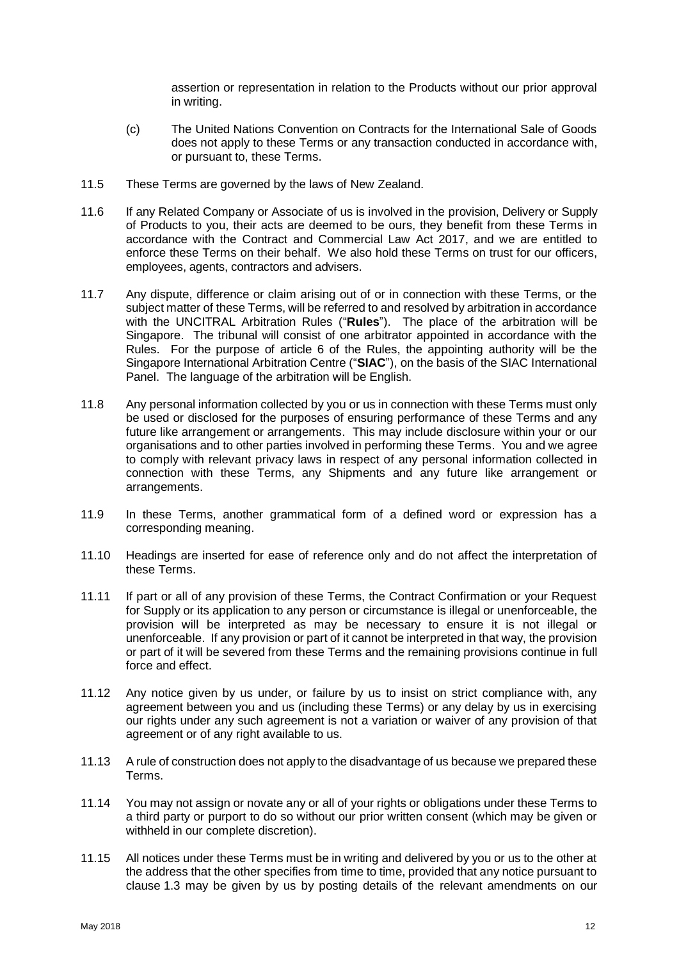assertion or representation in relation to the Products without our prior approval in writing.

- (c) The United Nations Convention on Contracts for the International Sale of Goods does not apply to these Terms or any transaction conducted in accordance with, or pursuant to, these Terms.
- 11.5 These Terms are governed by the laws of New Zealand.
- 11.6 If any Related Company or Associate of us is involved in the provision, Delivery or Supply of Products to you, their acts are deemed to be ours, they benefit from these Terms in accordance with the Contract and Commercial Law Act 2017, and we are entitled to enforce these Terms on their behalf. We also hold these Terms on trust for our officers, employees, agents, contractors and advisers.
- 11.7 Any dispute, difference or claim arising out of or in connection with these Terms, or the subject matter of these Terms, will be referred to and resolved by arbitration in accordance with the UNCITRAL Arbitration Rules ("**Rules**"). The place of the arbitration will be Singapore. The tribunal will consist of one arbitrator appointed in accordance with the Rules. For the purpose of article 6 of the Rules, the appointing authority will be the Singapore International Arbitration Centre ("**SIAC**"), on the basis of the SIAC International Panel. The language of the arbitration will be English.
- 11.8 Any personal information collected by you or us in connection with these Terms must only be used or disclosed for the purposes of ensuring performance of these Terms and any future like arrangement or arrangements. This may include disclosure within your or our organisations and to other parties involved in performing these Terms. You and we agree to comply with relevant privacy laws in respect of any personal information collected in connection with these Terms, any Shipments and any future like arrangement or arrangements.
- 11.9 In these Terms, another grammatical form of a defined word or expression has a corresponding meaning.
- 11.10 Headings are inserted for ease of reference only and do not affect the interpretation of these Terms.
- 11.11 If part or all of any provision of these Terms, the Contract Confirmation or your Request for Supply or its application to any person or circumstance is illegal or unenforceable, the provision will be interpreted as may be necessary to ensure it is not illegal or unenforceable. If any provision or part of it cannot be interpreted in that way, the provision or part of it will be severed from these Terms and the remaining provisions continue in full force and effect.
- 11.12 Any notice given by us under, or failure by us to insist on strict compliance with, any agreement between you and us (including these Terms) or any delay by us in exercising our rights under any such agreement is not a variation or waiver of any provision of that agreement or of any right available to us.
- 11.13 A rule of construction does not apply to the disadvantage of us because we prepared these Terms.
- 11.14 You may not assign or novate any or all of your rights or obligations under these Terms to a third party or purport to do so without our prior written consent (which may be given or withheld in our complete discretion).
- 11.15 All notices under these Terms must be in writing and delivered by you or us to the other at the address that the other specifies from time to time, provided that any notice pursuant to clause [1.3](#page-0-1) may be given by us by posting details of the relevant amendments on our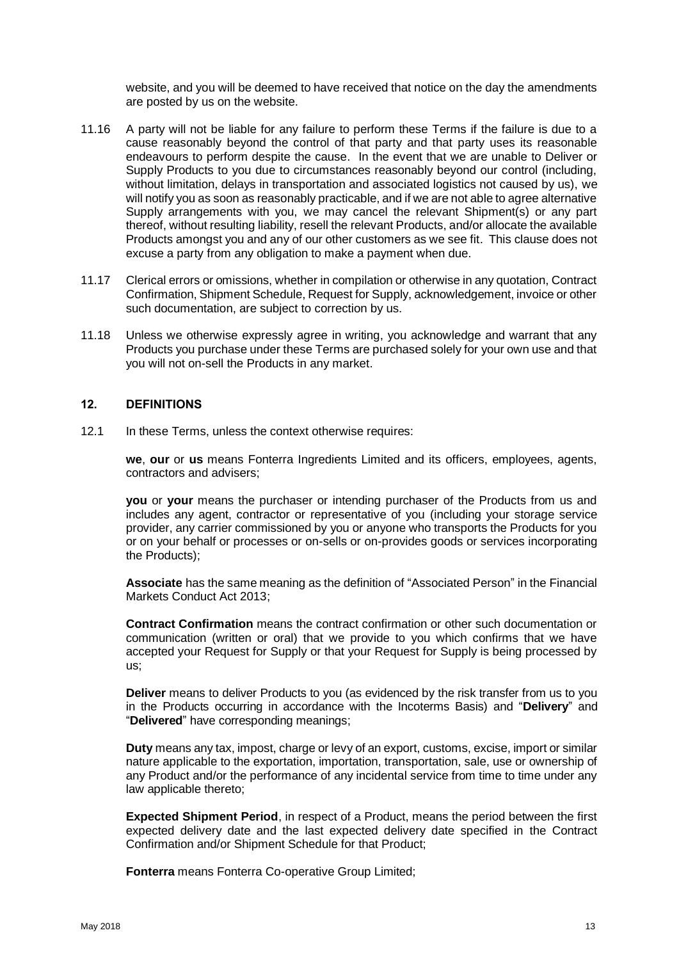website, and you will be deemed to have received that notice on the day the amendments are posted by us on the website.

- <span id="page-12-0"></span>11.16 A party will not be liable for any failure to perform these Terms if the failure is due to a cause reasonably beyond the control of that party and that party uses its reasonable endeavours to perform despite the cause. In the event that we are unable to Deliver or Supply Products to you due to circumstances reasonably beyond our control (including, without limitation, delays in transportation and associated logistics not caused by us), we will notify you as soon as reasonably practicable, and if we are not able to agree alternative Supply arrangements with you, we may cancel the relevant Shipment(s) or any part thereof, without resulting liability, resell the relevant Products, and/or allocate the available Products amongst you and any of our other customers as we see fit. This clause does not excuse a party from any obligation to make a payment when due.
- 11.17 Clerical errors or omissions, whether in compilation or otherwise in any quotation, Contract Confirmation, Shipment Schedule, Request for Supply, acknowledgement, invoice or other such documentation, are subject to correction by us.
- 11.18 Unless we otherwise expressly agree in writing, you acknowledge and warrant that any Products you purchase under these Terms are purchased solely for your own use and that you will not on-sell the Products in any market.

#### 12. DEFINITIONS

12.1 In these Terms, unless the context otherwise requires:

**we**, **our** or **us** means Fonterra Ingredients Limited and its officers, employees, agents, contractors and advisers;

**you** or **your** means the purchaser or intending purchaser of the Products from us and includes any agent, contractor or representative of you (including your storage service provider, any carrier commissioned by you or anyone who transports the Products for you or on your behalf or processes or on-sells or on-provides goods or services incorporating the Products);

**Associate** has the same meaning as the definition of "Associated Person" in the Financial Markets Conduct Act 2013;

**Contract Confirmation** means the contract confirmation or other such documentation or communication (written or oral) that we provide to you which confirms that we have accepted your Request for Supply or that your Request for Supply is being processed by us;

**Deliver** means to deliver Products to you (as evidenced by the risk transfer from us to you in the Products occurring in accordance with the Incoterms Basis) and "**Delivery**" and "**Delivered**" have corresponding meanings;

**Duty** means any tax, impost, charge or levy of an export, customs, excise, import or similar nature applicable to the exportation, importation, transportation, sale, use or ownership of any Product and/or the performance of any incidental service from time to time under any law applicable thereto;

**Expected Shipment Period**, in respect of a Product, means the period between the first expected delivery date and the last expected delivery date specified in the Contract Confirmation and/or Shipment Schedule for that Product;

**Fonterra** means Fonterra Co-operative Group Limited;